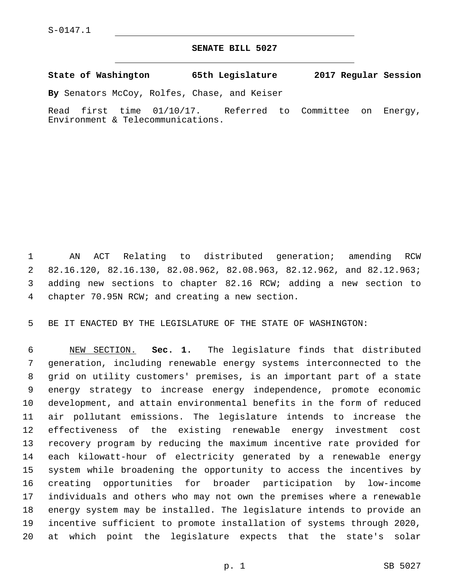## **SENATE BILL 5027**

**State of Washington 65th Legislature 2017 Regular Session**

**By** Senators McCoy, Rolfes, Chase, and Keiser

Read first time 01/10/17. Referred to Committee on Energy, Environment & Telecommunications.

 AN ACT Relating to distributed generation; amending RCW 82.16.120, 82.16.130, 82.08.962, 82.08.963, 82.12.962, and 82.12.963; adding new sections to chapter 82.16 RCW; adding a new section to chapter 70.95N RCW; and creating a new section.4

BE IT ENACTED BY THE LEGISLATURE OF THE STATE OF WASHINGTON:

 NEW SECTION. **Sec. 1.** The legislature finds that distributed generation, including renewable energy systems interconnected to the grid on utility customers' premises, is an important part of a state energy strategy to increase energy independence, promote economic development, and attain environmental benefits in the form of reduced air pollutant emissions. The legislature intends to increase the effectiveness of the existing renewable energy investment cost recovery program by reducing the maximum incentive rate provided for each kilowatt-hour of electricity generated by a renewable energy system while broadening the opportunity to access the incentives by creating opportunities for broader participation by low-income individuals and others who may not own the premises where a renewable energy system may be installed. The legislature intends to provide an incentive sufficient to promote installation of systems through 2020, at which point the legislature expects that the state's solar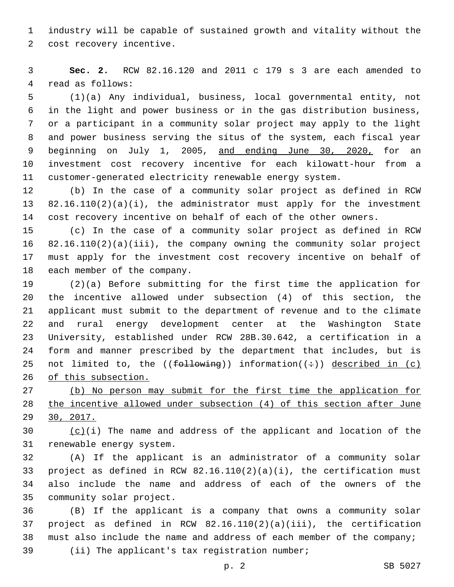industry will be capable of sustained growth and vitality without the 2 cost recovery incentive.

 **Sec. 2.** RCW 82.16.120 and 2011 c 179 s 3 are each amended to 4 read as follows:

 (1)(a) Any individual, business, local governmental entity, not in the light and power business or in the gas distribution business, or a participant in a community solar project may apply to the light and power business serving the situs of the system, each fiscal year beginning on July 1, 2005, and ending June 30, 2020, for an investment cost recovery incentive for each kilowatt-hour from a customer-generated electricity renewable energy system.

 (b) In the case of a community solar project as defined in RCW 82.16.110(2)(a)(i), the administrator must apply for the investment cost recovery incentive on behalf of each of the other owners.

 (c) In the case of a community solar project as defined in RCW 82.16.110(2)(a)(iii), the company owning the community solar project must apply for the investment cost recovery incentive on behalf of 18 each member of the company.

 (2)(a) Before submitting for the first time the application for the incentive allowed under subsection (4) of this section, the applicant must submit to the department of revenue and to the climate and rural energy development center at the Washington State University, established under RCW 28B.30.642, a certification in a form and manner prescribed by the department that includes, but is 25 not limited to, the  $(\text{f=1=10})$  information( $(\div)$ ) described in (c) 26 of this subsection.

 (b) No person may submit for the first time the application for the incentive allowed under subsection (4) of this section after June 30, 2017.

30  $(c)(i)$  The name and address of the applicant and location of the 31 renewable energy system.

 (A) If the applicant is an administrator of a community solar project as defined in RCW 82.16.110(2)(a)(i), the certification must also include the name and address of each of the owners of the 35 community solar project.

 (B) If the applicant is a company that owns a community solar project as defined in RCW 82.16.110(2)(a)(iii), the certification must also include the name and address of each member of the company; 39 (ii) The applicant's tax reqistration number;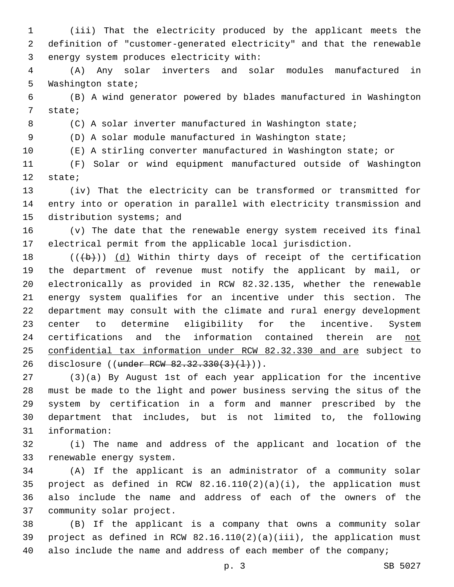(iii) That the electricity produced by the applicant meets the definition of "customer-generated electricity" and that the renewable 3 energy system produces electricity with:

 (A) Any solar inverters and solar modules manufactured in 5 Washington state;

 (B) A wind generator powered by blades manufactured in Washington 7 state;

(C) A solar inverter manufactured in Washington state;

(D) A solar module manufactured in Washington state;

(E) A stirling converter manufactured in Washington state; or

 (F) Solar or wind equipment manufactured outside of Washington 12 state;

 (iv) That the electricity can be transformed or transmitted for entry into or operation in parallel with electricity transmission and 15 distribution systems; and

 (v) The date that the renewable energy system received its final electrical permit from the applicable local jurisdiction.

 $((+b))$   $(d)$  Within thirty days of receipt of the certification the department of revenue must notify the applicant by mail, or electronically as provided in RCW 82.32.135, whether the renewable energy system qualifies for an incentive under this section. The department may consult with the climate and rural energy development center to determine eligibility for the incentive. System 24 certifications and the information contained therein are not confidential tax information under RCW 82.32.330 and are subject to 26 disclosure ((under RCW 82.32.330(3)(1))).

 (3)(a) By August 1st of each year application for the incentive must be made to the light and power business serving the situs of the system by certification in a form and manner prescribed by the department that includes, but is not limited to, the following 31 information:

 (i) The name and address of the applicant and location of the 33 renewable energy system.

 (A) If the applicant is an administrator of a community solar project as defined in RCW 82.16.110(2)(a)(i), the application must also include the name and address of each of the owners of the 37 community solar project.

 (B) If the applicant is a company that owns a community solar project as defined in RCW 82.16.110(2)(a)(iii), the application must 40 also include the name and address of each member of the company;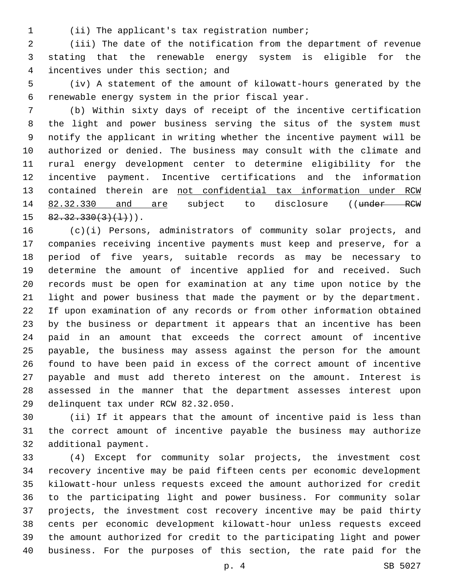(ii) The applicant's tax registration number;1

 (iii) The date of the notification from the department of revenue stating that the renewable energy system is eligible for the 4 incentives under this section; and

 (iv) A statement of the amount of kilowatt-hours generated by the 6 renewable energy system in the prior fiscal year.

 (b) Within sixty days of receipt of the incentive certification the light and power business serving the situs of the system must notify the applicant in writing whether the incentive payment will be authorized or denied. The business may consult with the climate and rural energy development center to determine eligibility for the incentive payment. Incentive certifications and the information contained therein are not confidential tax information under RCW 14 82.32.330 and are subject to disclosure ((under RCW  $82.32.330(3)(1)$ .

 (c)(i) Persons, administrators of community solar projects, and companies receiving incentive payments must keep and preserve, for a period of five years, suitable records as may be necessary to determine the amount of incentive applied for and received. Such records must be open for examination at any time upon notice by the light and power business that made the payment or by the department. If upon examination of any records or from other information obtained by the business or department it appears that an incentive has been paid in an amount that exceeds the correct amount of incentive payable, the business may assess against the person for the amount found to have been paid in excess of the correct amount of incentive payable and must add thereto interest on the amount. Interest is assessed in the manner that the department assesses interest upon 29 delinquent tax under RCW 82.32.050.

 (ii) If it appears that the amount of incentive paid is less than the correct amount of incentive payable the business may authorize 32 additional payment.

 (4) Except for community solar projects, the investment cost recovery incentive may be paid fifteen cents per economic development kilowatt-hour unless requests exceed the amount authorized for credit to the participating light and power business. For community solar projects, the investment cost recovery incentive may be paid thirty cents per economic development kilowatt-hour unless requests exceed the amount authorized for credit to the participating light and power business. For the purposes of this section, the rate paid for the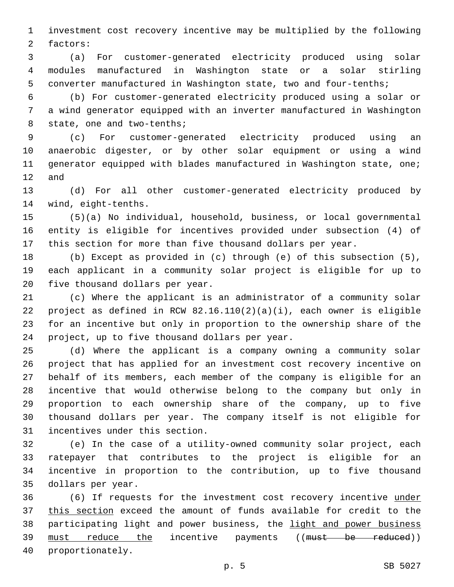investment cost recovery incentive may be multiplied by the following 2 factors:

 (a) For customer-generated electricity produced using solar modules manufactured in Washington state or a solar stirling converter manufactured in Washington state, two and four-tenths;

 (b) For customer-generated electricity produced using a solar or a wind generator equipped with an inverter manufactured in Washington 8 state, one and two-tenths;

 (c) For customer-generated electricity produced using an anaerobic digester, or by other solar equipment or using a wind generator equipped with blades manufactured in Washington state, one; and

 (d) For all other customer-generated electricity produced by 14 wind, eight-tenths.

 (5)(a) No individual, household, business, or local governmental entity is eligible for incentives provided under subsection (4) of this section for more than five thousand dollars per year.

 (b) Except as provided in (c) through (e) of this subsection (5), each applicant in a community solar project is eligible for up to 20 five thousand dollars per year.

 (c) Where the applicant is an administrator of a community solar 22 project as defined in RCW  $82.16.110(2)(a)(i)$ , each owner is eligible for an incentive but only in proportion to the ownership share of the 24 project, up to five thousand dollars per year.

 (d) Where the applicant is a company owning a community solar project that has applied for an investment cost recovery incentive on behalf of its members, each member of the company is eligible for an incentive that would otherwise belong to the company but only in proportion to each ownership share of the company, up to five thousand dollars per year. The company itself is not eligible for 31 incentives under this section.

 (e) In the case of a utility-owned community solar project, each ratepayer that contributes to the project is eligible for an incentive in proportion to the contribution, up to five thousand 35 dollars per year.

 (6) If requests for the investment cost recovery incentive under this section exceed the amount of funds available for credit to the 38 participating light and power business, the light and power business 39 must reduce the incentive payments ((must be reduced)) 40 proportionately.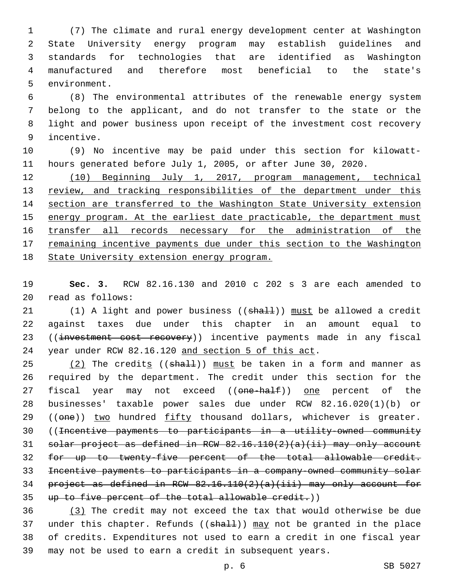(7) The climate and rural energy development center at Washington State University energy program may establish guidelines and standards for technologies that are identified as Washington manufactured and therefore most beneficial to the state's 5 environment.

 (8) The environmental attributes of the renewable energy system belong to the applicant, and do not transfer to the state or the light and power business upon receipt of the investment cost recovery 9 incentive.

 (9) No incentive may be paid under this section for kilowatt-hours generated before July 1, 2005, or after June 30, 2020.

 (10) Beginning July 1, 2017, program management, technical 13 review, and tracking responsibilities of the department under this section are transferred to the Washington State University extension energy program. At the earliest date practicable, the department must transfer all records necessary for the administration of the 17 remaining incentive payments due under this section to the Washington State University extension energy program.

 **Sec. 3.** RCW 82.16.130 and 2010 c 202 s 3 are each amended to read as follows:20

21 (1) A light and power business ((shall)) must be allowed a credit against taxes due under this chapter in an amount equal to 23 ((investment cost recovery)) incentive payments made in any fiscal year under RCW 82.16.120 and section 5 of this act.

 $(2)$  The credits ((shall)) must be taken in a form and manner as required by the department. The credit under this section for the 27 fiscal year may not exceed ((one-half)) one percent of the businesses' taxable power sales due under RCW 82.16.020(1)(b) or 29 ((one)) two hundred fifty thousand dollars, whichever is greater. ((Incentive payments to participants in a utility-owned community solar project as defined in RCW 82.16.110(2)(a)(ii) may only account for up to twenty-five percent of the total allowable credit. Incentive payments to participants in a company-owned community solar project as defined in RCW 82.16.110(2)(a)(iii) may only account for up to five percent of the total allowable credit.))

 (3) The credit may not exceed the tax that would otherwise be due 37 under this chapter. Refunds ( $(\text{shall})$ ) may not be granted in the place of credits. Expenditures not used to earn a credit in one fiscal year may not be used to earn a credit in subsequent years.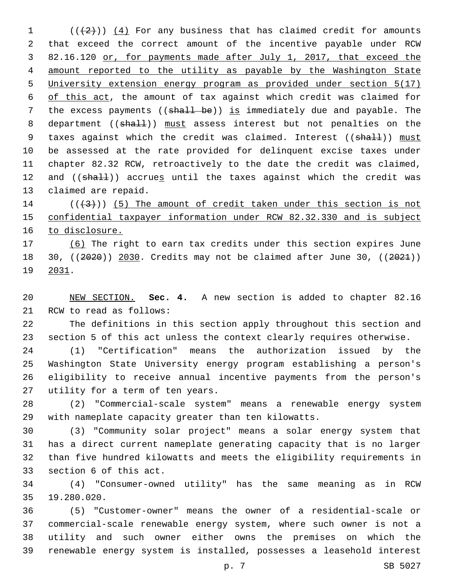(( $(2)$ )) (4) For any business that has claimed credit for amounts that exceed the correct amount of the incentive payable under RCW 82.16.120 or, for payments made after July 1, 2017, that exceed the amount reported to the utility as payable by the Washington State University extension energy program as provided under section 5(17) of this act, the amount of tax against which credit was claimed for 7 the excess payments ((shall be)) is immediately due and payable. The 8 department ((shall)) must assess interest but not penalties on the 9 taxes against which the credit was claimed. Interest ((shall)) must be assessed at the rate provided for delinquent excise taxes under chapter 82.32 RCW, retroactively to the date the credit was claimed, 12 and ((shall)) accrues until the taxes against which the credit was 13 claimed are repaid.

14  $((+3+))$  (5) The amount of credit taken under this section is not confidential taxpayer information under RCW 82.32.330 and is subject 16 to disclosure.

 (6) The right to earn tax credits under this section expires June 30, ((2020)) 2030. Credits may not be claimed after June 30, ((2021)) 19 2031.

 NEW SECTION. **Sec. 4.** A new section is added to chapter 82.16 21 RCW to read as follows:

 The definitions in this section apply throughout this section and section 5 of this act unless the context clearly requires otherwise.

 (1) "Certification" means the authorization issued by the Washington State University energy program establishing a person's eligibility to receive annual incentive payments from the person's 27 utility for a term of ten years.

 (2) "Commercial-scale system" means a renewable energy system with nameplate capacity greater than ten kilowatts.

 (3) "Community solar project" means a solar energy system that has a direct current nameplate generating capacity that is no larger than five hundred kilowatts and meets the eligibility requirements in 33 section 6 of this act.

 (4) "Consumer-owned utility" has the same meaning as in RCW 19.280.020.35

 (5) "Customer-owner" means the owner of a residential-scale or commercial-scale renewable energy system, where such owner is not a utility and such owner either owns the premises on which the renewable energy system is installed, possesses a leasehold interest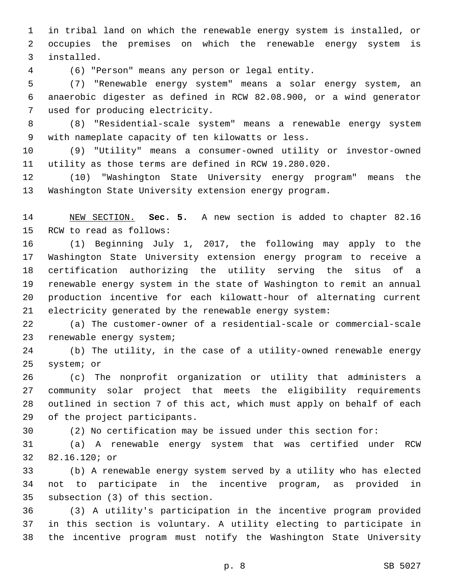in tribal land on which the renewable energy system is installed, or occupies the premises on which the renewable energy system is 3 installed.

(6) "Person" means any person or legal entity.4

 (7) "Renewable energy system" means a solar energy system, an anaerobic digester as defined in RCW 82.08.900, or a wind generator 7 used for producing electricity.

 (8) "Residential-scale system" means a renewable energy system with nameplate capacity of ten kilowatts or less.9

 (9) "Utility" means a consumer-owned utility or investor-owned utility as those terms are defined in RCW 19.280.020.

 (10) "Washington State University energy program" means the Washington State University extension energy program.

 NEW SECTION. **Sec. 5.** A new section is added to chapter 82.16 15 RCW to read as follows:

 (1) Beginning July 1, 2017, the following may apply to the Washington State University extension energy program to receive a certification authorizing the utility serving the situs of a renewable energy system in the state of Washington to remit an annual production incentive for each kilowatt-hour of alternating current electricity generated by the renewable energy system:

 (a) The customer-owner of a residential-scale or commercial-scale 23 renewable energy system;

 (b) The utility, in the case of a utility-owned renewable energy 25 system; or

 (c) The nonprofit organization or utility that administers a community solar project that meets the eligibility requirements outlined in section 7 of this act, which must apply on behalf of each 29 of the project participants.

(2) No certification may be issued under this section for:

 (a) A renewable energy system that was certified under RCW 32 82.16.120; or

 (b) A renewable energy system served by a utility who has elected not to participate in the incentive program, as provided in 35 subsection (3) of this section.

 (3) A utility's participation in the incentive program provided in this section is voluntary. A utility electing to participate in the incentive program must notify the Washington State University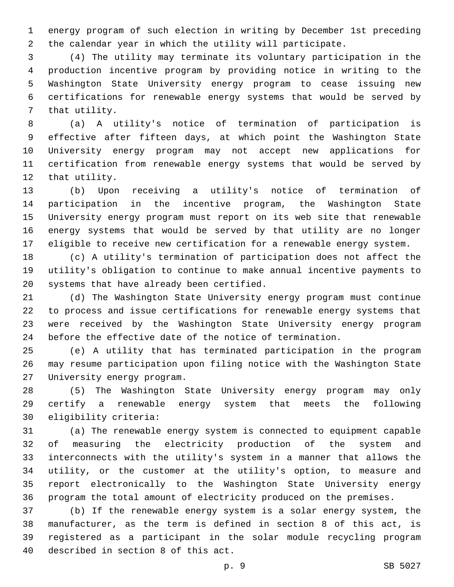energy program of such election in writing by December 1st preceding the calendar year in which the utility will participate.

 (4) The utility may terminate its voluntary participation in the production incentive program by providing notice in writing to the Washington State University energy program to cease issuing new certifications for renewable energy systems that would be served by 7 that utility.

 (a) A utility's notice of termination of participation is effective after fifteen days, at which point the Washington State University energy program may not accept new applications for certification from renewable energy systems that would be served by 12 that utility.

 (b) Upon receiving a utility's notice of termination of participation in the incentive program, the Washington State University energy program must report on its web site that renewable energy systems that would be served by that utility are no longer eligible to receive new certification for a renewable energy system.

 (c) A utility's termination of participation does not affect the utility's obligation to continue to make annual incentive payments to 20 systems that have already been certified.

 (d) The Washington State University energy program must continue to process and issue certifications for renewable energy systems that were received by the Washington State University energy program before the effective date of the notice of termination.

 (e) A utility that has terminated participation in the program may resume participation upon filing notice with the Washington State 27 University energy program.

 (5) The Washington State University energy program may only certify a renewable energy system that meets the following 30 eligibility criteria:

 (a) The renewable energy system is connected to equipment capable of measuring the electricity production of the system and interconnects with the utility's system in a manner that allows the utility, or the customer at the utility's option, to measure and report electronically to the Washington State University energy program the total amount of electricity produced on the premises.

 (b) If the renewable energy system is a solar energy system, the manufacturer, as the term is defined in section 8 of this act, is registered as a participant in the solar module recycling program 40 described in section 8 of this act.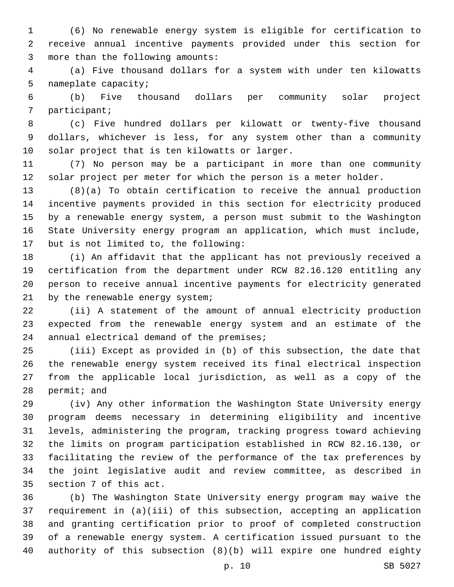(6) No renewable energy system is eligible for certification to receive annual incentive payments provided under this section for 3 more than the following amounts:

 (a) Five thousand dollars for a system with under ten kilowatts 5 nameplate capacity;

 (b) Five thousand dollars per community solar project 7 participant;

 (c) Five hundred dollars per kilowatt or twenty-five thousand dollars, whichever is less, for any system other than a community 10 solar project that is ten kilowatts or larger.

 (7) No person may be a participant in more than one community solar project per meter for which the person is a meter holder.

 (8)(a) To obtain certification to receive the annual production incentive payments provided in this section for electricity produced by a renewable energy system, a person must submit to the Washington State University energy program an application, which must include, 17 but is not limited to, the following:

 (i) An affidavit that the applicant has not previously received a certification from the department under RCW 82.16.120 entitling any person to receive annual incentive payments for electricity generated 21 by the renewable energy system;

 (ii) A statement of the amount of annual electricity production expected from the renewable energy system and an estimate of the 24 annual electrical demand of the premises;

 (iii) Except as provided in (b) of this subsection, the date that the renewable energy system received its final electrical inspection from the applicable local jurisdiction, as well as a copy of the 28 permit; and

 (iv) Any other information the Washington State University energy program deems necessary in determining eligibility and incentive levels, administering the program, tracking progress toward achieving the limits on program participation established in RCW 82.16.130, or facilitating the review of the performance of the tax preferences by the joint legislative audit and review committee, as described in 35 section 7 of this act.

 (b) The Washington State University energy program may waive the requirement in (a)(iii) of this subsection, accepting an application and granting certification prior to proof of completed construction of a renewable energy system. A certification issued pursuant to the authority of this subsection (8)(b) will expire one hundred eighty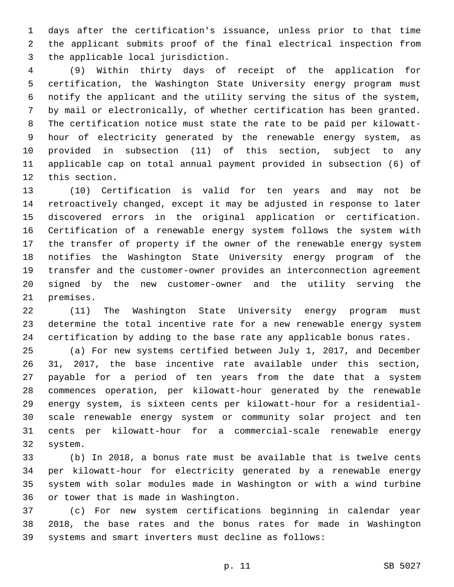days after the certification's issuance, unless prior to that time the applicant submits proof of the final electrical inspection from 3 the applicable local jurisdiction.

 (9) Within thirty days of receipt of the application for certification, the Washington State University energy program must notify the applicant and the utility serving the situs of the system, by mail or electronically, of whether certification has been granted. The certification notice must state the rate to be paid per kilowatt- hour of electricity generated by the renewable energy system, as provided in subsection (11) of this section, subject to any applicable cap on total annual payment provided in subsection (6) of 12 this section.

 (10) Certification is valid for ten years and may not be retroactively changed, except it may be adjusted in response to later discovered errors in the original application or certification. Certification of a renewable energy system follows the system with the transfer of property if the owner of the renewable energy system notifies the Washington State University energy program of the transfer and the customer-owner provides an interconnection agreement signed by the new customer-owner and the utility serving the 21 premises.

 (11) The Washington State University energy program must determine the total incentive rate for a new renewable energy system certification by adding to the base rate any applicable bonus rates.

 (a) For new systems certified between July 1, 2017, and December 31, 2017, the base incentive rate available under this section, payable for a period of ten years from the date that a system commences operation, per kilowatt-hour generated by the renewable energy system, is sixteen cents per kilowatt-hour for a residential- scale renewable energy system or community solar project and ten cents per kilowatt-hour for a commercial-scale renewable energy 32 system.

 (b) In 2018, a bonus rate must be available that is twelve cents per kilowatt-hour for electricity generated by a renewable energy system with solar modules made in Washington or with a wind turbine 36 or tower that is made in Washington.

 (c) For new system certifications beginning in calendar year 2018, the base rates and the bonus rates for made in Washington systems and smart inverters must decline as follows: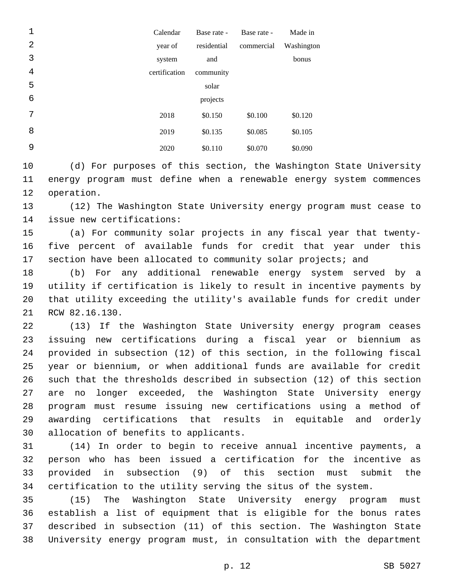| 1 | Calendar      | Base rate - | Base rate - | Made in    |
|---|---------------|-------------|-------------|------------|
| 2 | year of       | residential | commercial  | Washington |
| 3 | system        | and         |             | bonus      |
| 4 | certification | community   |             |            |
| 5 |               | solar       |             |            |
| 6 |               | projects    |             |            |
| 7 | 2018          | \$0.150     | \$0.100     | \$0.120    |
| 8 | 2019          | \$0.135     | \$0.085     | \$0.105    |
| 9 | 2020          | \$0.110     | \$0.070     | \$0.090    |

 (d) For purposes of this section, the Washington State University energy program must define when a renewable energy system commences 12 operation.

 (12) The Washington State University energy program must cease to 14 issue new certifications:

 (a) For community solar projects in any fiscal year that twenty- five percent of available funds for credit that year under this section have been allocated to community solar projects; and

 (b) For any additional renewable energy system served by a utility if certification is likely to result in incentive payments by that utility exceeding the utility's available funds for credit under 21 RCW 82.16.130.

 (13) If the Washington State University energy program ceases issuing new certifications during a fiscal year or biennium as provided in subsection (12) of this section, in the following fiscal year or biennium, or when additional funds are available for credit such that the thresholds described in subsection (12) of this section are no longer exceeded, the Washington State University energy program must resume issuing new certifications using a method of awarding certifications that results in equitable and orderly 30 allocation of benefits to applicants.

 (14) In order to begin to receive annual incentive payments, a person who has been issued a certification for the incentive as provided in subsection (9) of this section must submit the certification to the utility serving the situs of the system.

 (15) The Washington State University energy program must establish a list of equipment that is eligible for the bonus rates described in subsection (11) of this section. The Washington State University energy program must, in consultation with the department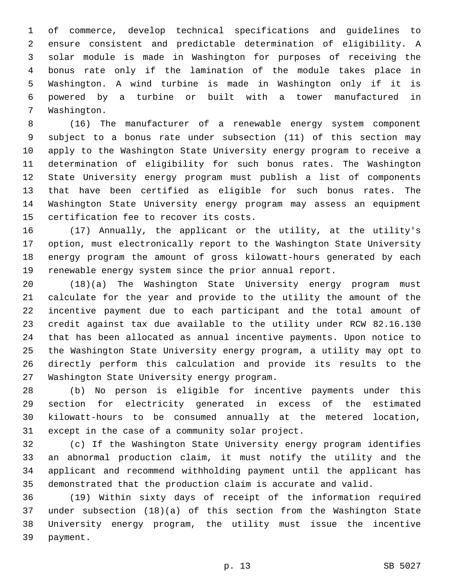of commerce, develop technical specifications and guidelines to ensure consistent and predictable determination of eligibility. A solar module is made in Washington for purposes of receiving the bonus rate only if the lamination of the module takes place in Washington. A wind turbine is made in Washington only if it is powered by a turbine or built with a tower manufactured in 7 Washington.

 (16) The manufacturer of a renewable energy system component subject to a bonus rate under subsection (11) of this section may apply to the Washington State University energy program to receive a determination of eligibility for such bonus rates. The Washington State University energy program must publish a list of components that have been certified as eligible for such bonus rates. The Washington State University energy program may assess an equipment 15 certification fee to recover its costs.

 (17) Annually, the applicant or the utility, at the utility's option, must electronically report to the Washington State University energy program the amount of gross kilowatt-hours generated by each renewable energy system since the prior annual report.

 (18)(a) The Washington State University energy program must calculate for the year and provide to the utility the amount of the incentive payment due to each participant and the total amount of credit against tax due available to the utility under RCW 82.16.130 that has been allocated as annual incentive payments. Upon notice to the Washington State University energy program, a utility may opt to directly perform this calculation and provide its results to the 27 Washington State University energy program.

 (b) No person is eligible for incentive payments under this section for electricity generated in excess of the estimated kilowatt-hours to be consumed annually at the metered location, 31 except in the case of a community solar project.

 (c) If the Washington State University energy program identifies an abnormal production claim, it must notify the utility and the applicant and recommend withholding payment until the applicant has demonstrated that the production claim is accurate and valid.

 (19) Within sixty days of receipt of the information required under subsection (18)(a) of this section from the Washington State University energy program, the utility must issue the incentive 39 payment.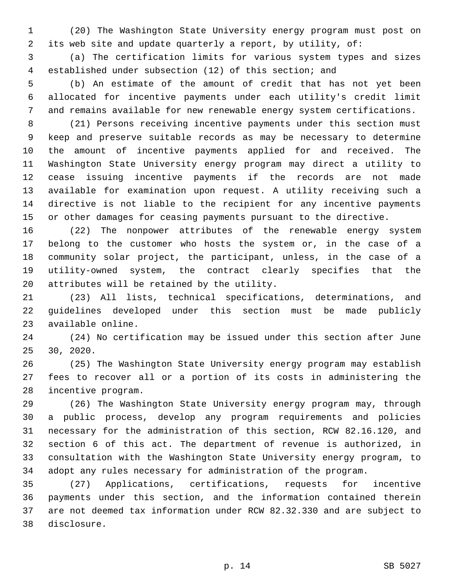(20) The Washington State University energy program must post on its web site and update quarterly a report, by utility, of:

 (a) The certification limits for various system types and sizes established under subsection (12) of this section; and

 (b) An estimate of the amount of credit that has not yet been allocated for incentive payments under each utility's credit limit and remains available for new renewable energy system certifications.

 (21) Persons receiving incentive payments under this section must keep and preserve suitable records as may be necessary to determine the amount of incentive payments applied for and received. The Washington State University energy program may direct a utility to cease issuing incentive payments if the records are not made available for examination upon request. A utility receiving such a directive is not liable to the recipient for any incentive payments or other damages for ceasing payments pursuant to the directive.

 (22) The nonpower attributes of the renewable energy system belong to the customer who hosts the system or, in the case of a community solar project, the participant, unless, in the case of a utility-owned system, the contract clearly specifies that the 20 attributes will be retained by the utility.

 (23) All lists, technical specifications, determinations, and guidelines developed under this section must be made publicly 23 available online.

 (24) No certification may be issued under this section after June 25 30, 2020.

 (25) The Washington State University energy program may establish fees to recover all or a portion of its costs in administering the 28 incentive program.

 (26) The Washington State University energy program may, through a public process, develop any program requirements and policies necessary for the administration of this section, RCW 82.16.120, and section 6 of this act. The department of revenue is authorized, in consultation with the Washington State University energy program, to adopt any rules necessary for administration of the program.

 (27) Applications, certifications, requests for incentive payments under this section, and the information contained therein are not deemed tax information under RCW 82.32.330 and are subject to disclosure.38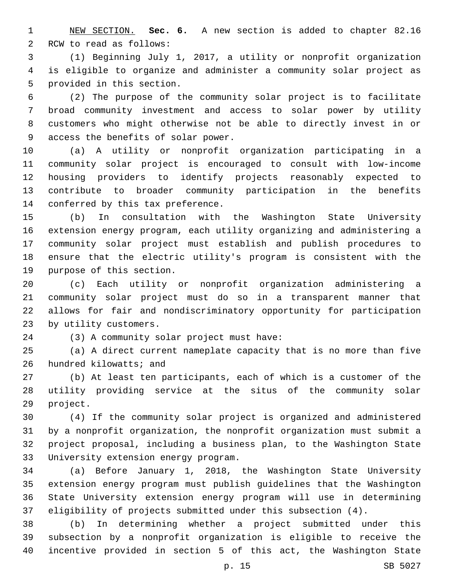NEW SECTION. **Sec. 6.** A new section is added to chapter 82.16 2 RCW to read as follows:

 (1) Beginning July 1, 2017, a utility or nonprofit organization is eligible to organize and administer a community solar project as 5 provided in this section.

 (2) The purpose of the community solar project is to facilitate broad community investment and access to solar power by utility customers who might otherwise not be able to directly invest in or 9 access the benefits of solar power.

 (a) A utility or nonprofit organization participating in a community solar project is encouraged to consult with low-income housing providers to identify projects reasonably expected to contribute to broader community participation in the benefits 14 conferred by this tax preference.

 (b) In consultation with the Washington State University extension energy program, each utility organizing and administering a community solar project must establish and publish procedures to ensure that the electric utility's program is consistent with the 19 purpose of this section.

 (c) Each utility or nonprofit organization administering a community solar project must do so in a transparent manner that allows for fair and nondiscriminatory opportunity for participation 23 by utility customers.

(3) A community solar project must have:24

 (a) A direct current nameplate capacity that is no more than five 26 hundred kilowatts; and

 (b) At least ten participants, each of which is a customer of the utility providing service at the situs of the community solar 29 project.

 (4) If the community solar project is organized and administered by a nonprofit organization, the nonprofit organization must submit a project proposal, including a business plan, to the Washington State 33 University extension energy program.

 (a) Before January 1, 2018, the Washington State University extension energy program must publish guidelines that the Washington State University extension energy program will use in determining eligibility of projects submitted under this subsection (4).

 (b) In determining whether a project submitted under this subsection by a nonprofit organization is eligible to receive the incentive provided in section 5 of this act, the Washington State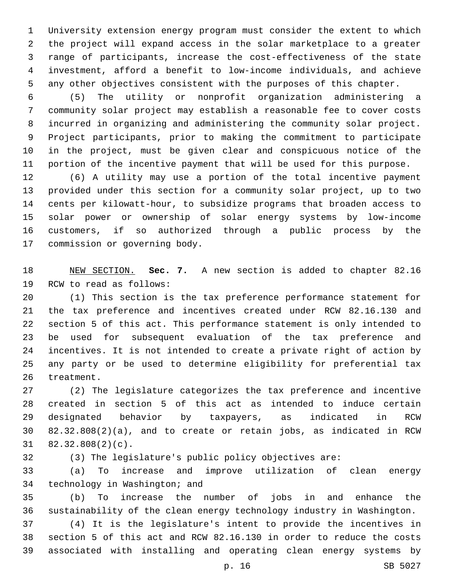University extension energy program must consider the extent to which the project will expand access in the solar marketplace to a greater range of participants, increase the cost-effectiveness of the state investment, afford a benefit to low-income individuals, and achieve any other objectives consistent with the purposes of this chapter.

 (5) The utility or nonprofit organization administering a community solar project may establish a reasonable fee to cover costs incurred in organizing and administering the community solar project. Project participants, prior to making the commitment to participate in the project, must be given clear and conspicuous notice of the portion of the incentive payment that will be used for this purpose.

 (6) A utility may use a portion of the total incentive payment provided under this section for a community solar project, up to two cents per kilowatt-hour, to subsidize programs that broaden access to solar power or ownership of solar energy systems by low-income customers, if so authorized through a public process by the 17 commission or governing body.

 NEW SECTION. **Sec. 7.** A new section is added to chapter 82.16 19 RCW to read as follows:

 (1) This section is the tax preference performance statement for the tax preference and incentives created under RCW 82.16.130 and section 5 of this act. This performance statement is only intended to be used for subsequent evaluation of the tax preference and incentives. It is not intended to create a private right of action by any party or be used to determine eligibility for preferential tax 26 treatment.

 (2) The legislature categorizes the tax preference and incentive created in section 5 of this act as intended to induce certain designated behavior by taxpayers, as indicated in RCW 82.32.808(2)(a), and to create or retain jobs, as indicated in RCW  $31 \quad 82.32.808(2)(c)$ .

(3) The legislature's public policy objectives are:

 (a) To increase and improve utilization of clean energy 34 technology in Washington; and

 (b) To increase the number of jobs in and enhance the sustainability of the clean energy technology industry in Washington.

 (4) It is the legislature's intent to provide the incentives in section 5 of this act and RCW 82.16.130 in order to reduce the costs associated with installing and operating clean energy systems by

p. 16 SB 5027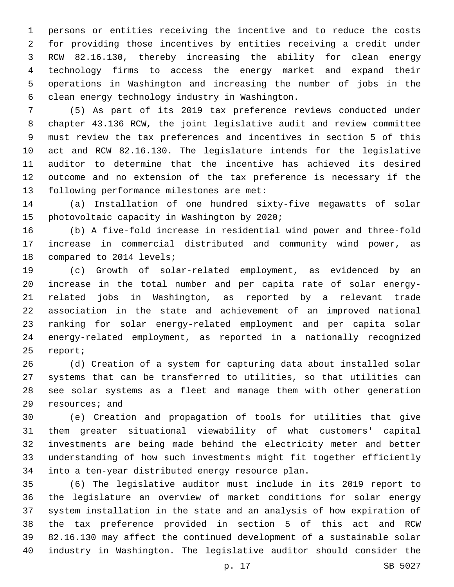persons or entities receiving the incentive and to reduce the costs for providing those incentives by entities receiving a credit under RCW 82.16.130, thereby increasing the ability for clean energy technology firms to access the energy market and expand their operations in Washington and increasing the number of jobs in the clean energy technology industry in Washington.6

 (5) As part of its 2019 tax preference reviews conducted under chapter 43.136 RCW, the joint legislative audit and review committee must review the tax preferences and incentives in section 5 of this act and RCW 82.16.130. The legislature intends for the legislative auditor to determine that the incentive has achieved its desired outcome and no extension of the tax preference is necessary if the 13 following performance milestones are met:

 (a) Installation of one hundred sixty-five megawatts of solar 15 photovoltaic capacity in Washington by 2020;

 (b) A five-fold increase in residential wind power and three-fold increase in commercial distributed and community wind power, as 18 compared to 2014 levels;

 (c) Growth of solar-related employment, as evidenced by an increase in the total number and per capita rate of solar energy- related jobs in Washington, as reported by a relevant trade association in the state and achievement of an improved national ranking for solar energy-related employment and per capita solar energy-related employment, as reported in a nationally recognized 25 report;

 (d) Creation of a system for capturing data about installed solar systems that can be transferred to utilities, so that utilities can see solar systems as a fleet and manage them with other generation 29 resources; and

 (e) Creation and propagation of tools for utilities that give them greater situational viewability of what customers' capital investments are being made behind the electricity meter and better understanding of how such investments might fit together efficiently 34 into a ten-year distributed energy resource plan.

 (6) The legislative auditor must include in its 2019 report to the legislature an overview of market conditions for solar energy system installation in the state and an analysis of how expiration of the tax preference provided in section 5 of this act and RCW 82.16.130 may affect the continued development of a sustainable solar industry in Washington. The legislative auditor should consider the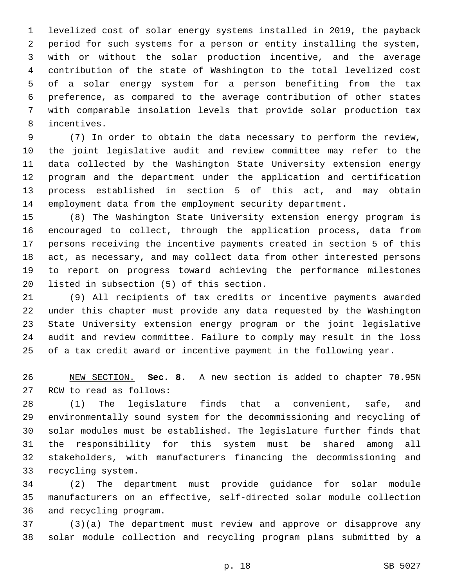levelized cost of solar energy systems installed in 2019, the payback period for such systems for a person or entity installing the system, with or without the solar production incentive, and the average contribution of the state of Washington to the total levelized cost of a solar energy system for a person benefiting from the tax preference, as compared to the average contribution of other states with comparable insolation levels that provide solar production tax 8 incentives.

 (7) In order to obtain the data necessary to perform the review, the joint legislative audit and review committee may refer to the data collected by the Washington State University extension energy program and the department under the application and certification process established in section 5 of this act, and may obtain employment data from the employment security department.

 (8) The Washington State University extension energy program is encouraged to collect, through the application process, data from persons receiving the incentive payments created in section 5 of this act, as necessary, and may collect data from other interested persons to report on progress toward achieving the performance milestones 20 listed in subsection (5) of this section.

 (9) All recipients of tax credits or incentive payments awarded under this chapter must provide any data requested by the Washington State University extension energy program or the joint legislative audit and review committee. Failure to comply may result in the loss of a tax credit award or incentive payment in the following year.

 NEW SECTION. **Sec. 8.** A new section is added to chapter 70.95N 27 RCW to read as follows:

 (1) The legislature finds that a convenient, safe, and environmentally sound system for the decommissioning and recycling of solar modules must be established. The legislature further finds that the responsibility for this system must be shared among all stakeholders, with manufacturers financing the decommissioning and 33 recycling system.

 (2) The department must provide guidance for solar module manufacturers on an effective, self-directed solar module collection 36 and recycling program.

 (3)(a) The department must review and approve or disapprove any solar module collection and recycling program plans submitted by a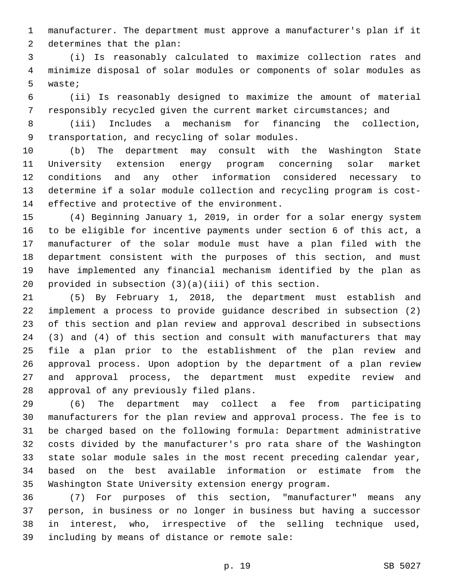manufacturer. The department must approve a manufacturer's plan if it 2 determines that the plan:

 (i) Is reasonably calculated to maximize collection rates and minimize disposal of solar modules or components of solar modules as 5 waste;

 (ii) Is reasonably designed to maximize the amount of material responsibly recycled given the current market circumstances; and

 (iii) Includes a mechanism for financing the collection, 9 transportation, and recycling of solar modules.

 (b) The department may consult with the Washington State University extension energy program concerning solar market conditions and any other information considered necessary to determine if a solar module collection and recycling program is cost-14 effective and protective of the environment.

 (4) Beginning January 1, 2019, in order for a solar energy system to be eligible for incentive payments under section 6 of this act, a manufacturer of the solar module must have a plan filed with the department consistent with the purposes of this section, and must have implemented any financial mechanism identified by the plan as provided in subsection (3)(a)(iii) of this section.

 (5) By February 1, 2018, the department must establish and implement a process to provide guidance described in subsection (2) of this section and plan review and approval described in subsections (3) and (4) of this section and consult with manufacturers that may file a plan prior to the establishment of the plan review and approval process. Upon adoption by the department of a plan review and approval process, the department must expedite review and 28 approval of any previously filed plans.

 (6) The department may collect a fee from participating manufacturers for the plan review and approval process. The fee is to be charged based on the following formula: Department administrative costs divided by the manufacturer's pro rata share of the Washington state solar module sales in the most recent preceding calendar year, based on the best available information or estimate from the Washington State University extension energy program.

 (7) For purposes of this section, "manufacturer" means any person, in business or no longer in business but having a successor in interest, who, irrespective of the selling technique used, 39 including by means of distance or remote sale: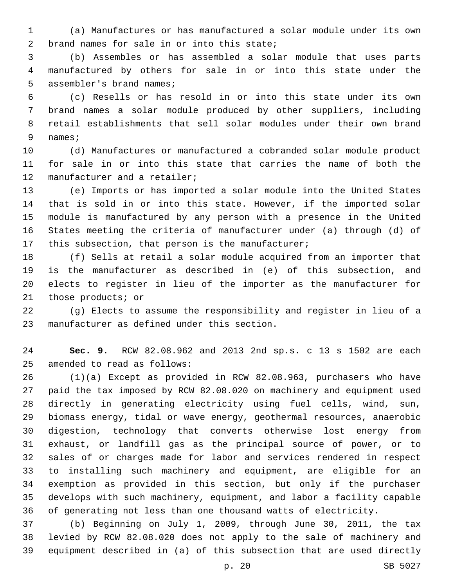(a) Manufactures or has manufactured a solar module under its own 2 brand names for sale in or into this state;

 (b) Assembles or has assembled a solar module that uses parts manufactured by others for sale in or into this state under the 5 assembler's brand names;

 (c) Resells or has resold in or into this state under its own brand names a solar module produced by other suppliers, including retail establishments that sell solar modules under their own brand 9 names;

 (d) Manufactures or manufactured a cobranded solar module product for sale in or into this state that carries the name of both the 12 manufacturer and a retailer;

 (e) Imports or has imported a solar module into the United States that is sold in or into this state. However, if the imported solar module is manufactured by any person with a presence in the United States meeting the criteria of manufacturer under (a) through (d) of 17 this subsection, that person is the manufacturer;

 (f) Sells at retail a solar module acquired from an importer that is the manufacturer as described in (e) of this subsection, and elects to register in lieu of the importer as the manufacturer for 21 those products; or

 (g) Elects to assume the responsibility and register in lieu of a 23 manufacturer as defined under this section.

 **Sec. 9.** RCW 82.08.962 and 2013 2nd sp.s. c 13 s 1502 are each 25 amended to read as follows:

 (1)(a) Except as provided in RCW 82.08.963, purchasers who have paid the tax imposed by RCW 82.08.020 on machinery and equipment used directly in generating electricity using fuel cells, wind, sun, biomass energy, tidal or wave energy, geothermal resources, anaerobic digestion, technology that converts otherwise lost energy from exhaust, or landfill gas as the principal source of power, or to sales of or charges made for labor and services rendered in respect to installing such machinery and equipment, are eligible for an exemption as provided in this section, but only if the purchaser develops with such machinery, equipment, and labor a facility capable of generating not less than one thousand watts of electricity.

 (b) Beginning on July 1, 2009, through June 30, 2011, the tax levied by RCW 82.08.020 does not apply to the sale of machinery and equipment described in (a) of this subsection that are used directly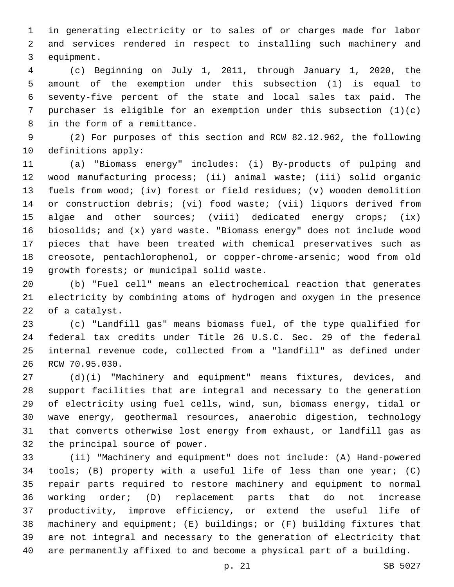in generating electricity or to sales of or charges made for labor and services rendered in respect to installing such machinery and 3 equipment.

 (c) Beginning on July 1, 2011, through January 1, 2020, the amount of the exemption under this subsection (1) is equal to seventy-five percent of the state and local sales tax paid. The purchaser is eligible for an exemption under this subsection (1)(c) 8 in the form of a remittance.

 (2) For purposes of this section and RCW 82.12.962, the following 10 definitions apply:

 (a) "Biomass energy" includes: (i) By-products of pulping and wood manufacturing process; (ii) animal waste; (iii) solid organic fuels from wood; (iv) forest or field residues; (v) wooden demolition or construction debris; (vi) food waste; (vii) liquors derived from algae and other sources; (viii) dedicated energy crops; (ix) biosolids; and (x) yard waste. "Biomass energy" does not include wood pieces that have been treated with chemical preservatives such as creosote, pentachlorophenol, or copper-chrome-arsenic; wood from old 19 qrowth forests; or municipal solid waste.

 (b) "Fuel cell" means an electrochemical reaction that generates electricity by combining atoms of hydrogen and oxygen in the presence 22 of a catalyst.

 (c) "Landfill gas" means biomass fuel, of the type qualified for federal tax credits under Title 26 U.S.C. Sec. 29 of the federal internal revenue code, collected from a "landfill" as defined under 26 RCW 70.95.030.

 (d)(i) "Machinery and equipment" means fixtures, devices, and support facilities that are integral and necessary to the generation of electricity using fuel cells, wind, sun, biomass energy, tidal or wave energy, geothermal resources, anaerobic digestion, technology that converts otherwise lost energy from exhaust, or landfill gas as 32 the principal source of power.

 (ii) "Machinery and equipment" does not include: (A) Hand-powered tools; (B) property with a useful life of less than one year; (C) repair parts required to restore machinery and equipment to normal working order; (D) replacement parts that do not increase productivity, improve efficiency, or extend the useful life of machinery and equipment; (E) buildings; or (F) building fixtures that are not integral and necessary to the generation of electricity that are permanently affixed to and become a physical part of a building.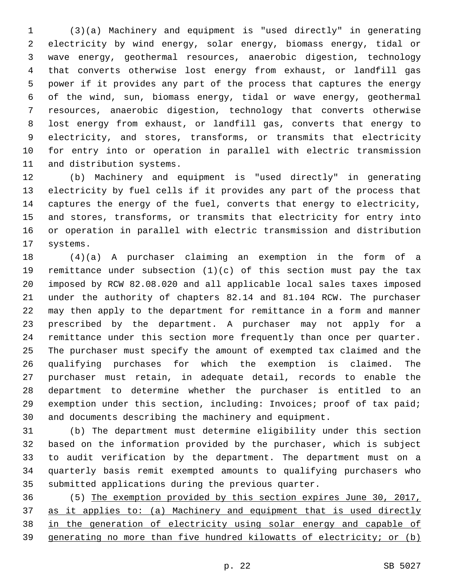(3)(a) Machinery and equipment is "used directly" in generating electricity by wind energy, solar energy, biomass energy, tidal or wave energy, geothermal resources, anaerobic digestion, technology that converts otherwise lost energy from exhaust, or landfill gas power if it provides any part of the process that captures the energy of the wind, sun, biomass energy, tidal or wave energy, geothermal resources, anaerobic digestion, technology that converts otherwise lost energy from exhaust, or landfill gas, converts that energy to electricity, and stores, transforms, or transmits that electricity for entry into or operation in parallel with electric transmission 11 and distribution systems.

 (b) Machinery and equipment is "used directly" in generating electricity by fuel cells if it provides any part of the process that captures the energy of the fuel, converts that energy to electricity, and stores, transforms, or transmits that electricity for entry into or operation in parallel with electric transmission and distribution 17 systems.

 (4)(a) A purchaser claiming an exemption in the form of a remittance under subsection (1)(c) of this section must pay the tax imposed by RCW 82.08.020 and all applicable local sales taxes imposed under the authority of chapters 82.14 and 81.104 RCW. The purchaser may then apply to the department for remittance in a form and manner prescribed by the department. A purchaser may not apply for a remittance under this section more frequently than once per quarter. The purchaser must specify the amount of exempted tax claimed and the qualifying purchases for which the exemption is claimed. The purchaser must retain, in adequate detail, records to enable the department to determine whether the purchaser is entitled to an exemption under this section, including: Invoices; proof of tax paid; and documents describing the machinery and equipment.

 (b) The department must determine eligibility under this section based on the information provided by the purchaser, which is subject to audit verification by the department. The department must on a quarterly basis remit exempted amounts to qualifying purchasers who submitted applications during the previous quarter.

 (5) The exemption provided by this section expires June 30, 2017, as it applies to: (a) Machinery and equipment that is used directly in the generation of electricity using solar energy and capable of generating no more than five hundred kilowatts of electricity; or (b)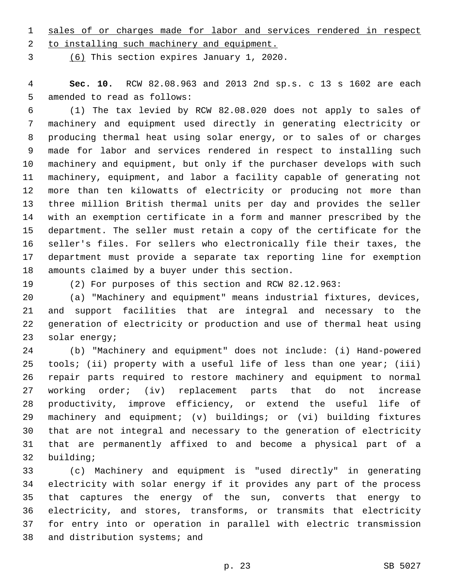sales of or charges made for labor and services rendered in respect 2 to installing such machinery and equipment.

(6) This section expires January 1, 2020.3

 **Sec. 10.** RCW 82.08.963 and 2013 2nd sp.s. c 13 s 1602 are each 5 amended to read as follows:

 (1) The tax levied by RCW 82.08.020 does not apply to sales of machinery and equipment used directly in generating electricity or producing thermal heat using solar energy, or to sales of or charges made for labor and services rendered in respect to installing such machinery and equipment, but only if the purchaser develops with such machinery, equipment, and labor a facility capable of generating not more than ten kilowatts of electricity or producing not more than three million British thermal units per day and provides the seller with an exemption certificate in a form and manner prescribed by the department. The seller must retain a copy of the certificate for the seller's files. For sellers who electronically file their taxes, the department must provide a separate tax reporting line for exemption 18 amounts claimed by a buyer under this section.

(2) For purposes of this section and RCW 82.12.963:

 (a) "Machinery and equipment" means industrial fixtures, devices, and support facilities that are integral and necessary to the generation of electricity or production and use of thermal heat using 23 solar energy;

 (b) "Machinery and equipment" does not include: (i) Hand-powered 25 tools; (ii) property with a useful life of less than one year; (iii) repair parts required to restore machinery and equipment to normal working order; (iv) replacement parts that do not increase productivity, improve efficiency, or extend the useful life of machinery and equipment; (v) buildings; or (vi) building fixtures that are not integral and necessary to the generation of electricity that are permanently affixed to and become a physical part of a 32 building;

 (c) Machinery and equipment is "used directly" in generating electricity with solar energy if it provides any part of the process that captures the energy of the sun, converts that energy to electricity, and stores, transforms, or transmits that electricity for entry into or operation in parallel with electric transmission 38 and distribution systems; and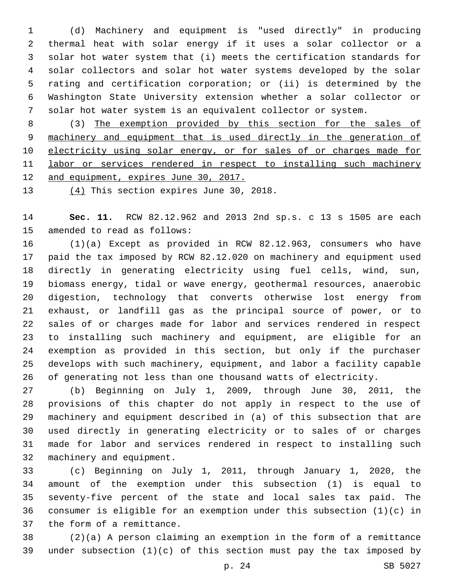(d) Machinery and equipment is "used directly" in producing thermal heat with solar energy if it uses a solar collector or a solar hot water system that (i) meets the certification standards for solar collectors and solar hot water systems developed by the solar rating and certification corporation; or (ii) is determined by the Washington State University extension whether a solar collector or solar hot water system is an equivalent collector or system.

 (3) The exemption provided by this section for the sales of machinery and equipment that is used directly in the generation of 10 electricity using solar energy, or for sales of or charges made for labor or services rendered in respect to installing such machinery 12 and equipment, expires June 30, 2017.

13  $(4)$  This section expires June 30, 2018.

 **Sec. 11.** RCW 82.12.962 and 2013 2nd sp.s. c 13 s 1505 are each 15 amended to read as follows:

 (1)(a) Except as provided in RCW 82.12.963, consumers who have paid the tax imposed by RCW 82.12.020 on machinery and equipment used directly in generating electricity using fuel cells, wind, sun, biomass energy, tidal or wave energy, geothermal resources, anaerobic digestion, technology that converts otherwise lost energy from exhaust, or landfill gas as the principal source of power, or to sales of or charges made for labor and services rendered in respect to installing such machinery and equipment, are eligible for an exemption as provided in this section, but only if the purchaser develops with such machinery, equipment, and labor a facility capable of generating not less than one thousand watts of electricity.

 (b) Beginning on July 1, 2009, through June 30, 2011, the provisions of this chapter do not apply in respect to the use of machinery and equipment described in (a) of this subsection that are used directly in generating electricity or to sales of or charges made for labor and services rendered in respect to installing such 32 machinery and equipment.

 (c) Beginning on July 1, 2011, through January 1, 2020, the amount of the exemption under this subsection (1) is equal to seventy-five percent of the state and local sales tax paid. The consumer is eligible for an exemption under this subsection (1)(c) in 37 the form of a remittance.

 (2)(a) A person claiming an exemption in the form of a remittance under subsection (1)(c) of this section must pay the tax imposed by

p. 24 SB 5027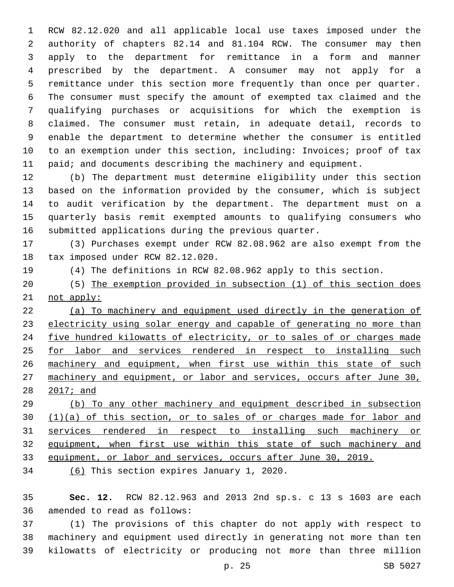RCW 82.12.020 and all applicable local use taxes imposed under the authority of chapters 82.14 and 81.104 RCW. The consumer may then apply to the department for remittance in a form and manner prescribed by the department. A consumer may not apply for a remittance under this section more frequently than once per quarter. The consumer must specify the amount of exempted tax claimed and the qualifying purchases or acquisitions for which the exemption is claimed. The consumer must retain, in adequate detail, records to enable the department to determine whether the consumer is entitled to an exemption under this section, including: Invoices; proof of tax 11 paid; and documents describing the machinery and equipment.

 (b) The department must determine eligibility under this section based on the information provided by the consumer, which is subject to audit verification by the department. The department must on a quarterly basis remit exempted amounts to qualifying consumers who submitted applications during the previous quarter.

 (3) Purchases exempt under RCW 82.08.962 are also exempt from the 18 tax imposed under RCW 82.12.020.

- (4) The definitions in RCW 82.08.962 apply to this section.
- (5) The exemption provided in subsection (1) of this section does not apply:

 (a) To machinery and equipment used directly in the generation of electricity using solar energy and capable of generating no more than five hundred kilowatts of electricity, or to sales of or charges made 25 for labor and services rendered in respect to installing such 26 machinery and equipment, when first use within this state of such machinery and equipment, or labor and services, occurs after June 30, 2017; and

 (b) To any other machinery and equipment described in subsection 30 (1)(a) of this section, or to sales of or charges made for labor and services rendered in respect to installing such machinery or equipment, when first use within this state of such machinery and equipment, or labor and services, occurs after June 30, 2019.

34 (6) This section expires January 1, 2020.

 **Sec. 12.** RCW 82.12.963 and 2013 2nd sp.s. c 13 s 1603 are each 36 amended to read as follows:

 (1) The provisions of this chapter do not apply with respect to machinery and equipment used directly in generating not more than ten kilowatts of electricity or producing not more than three million